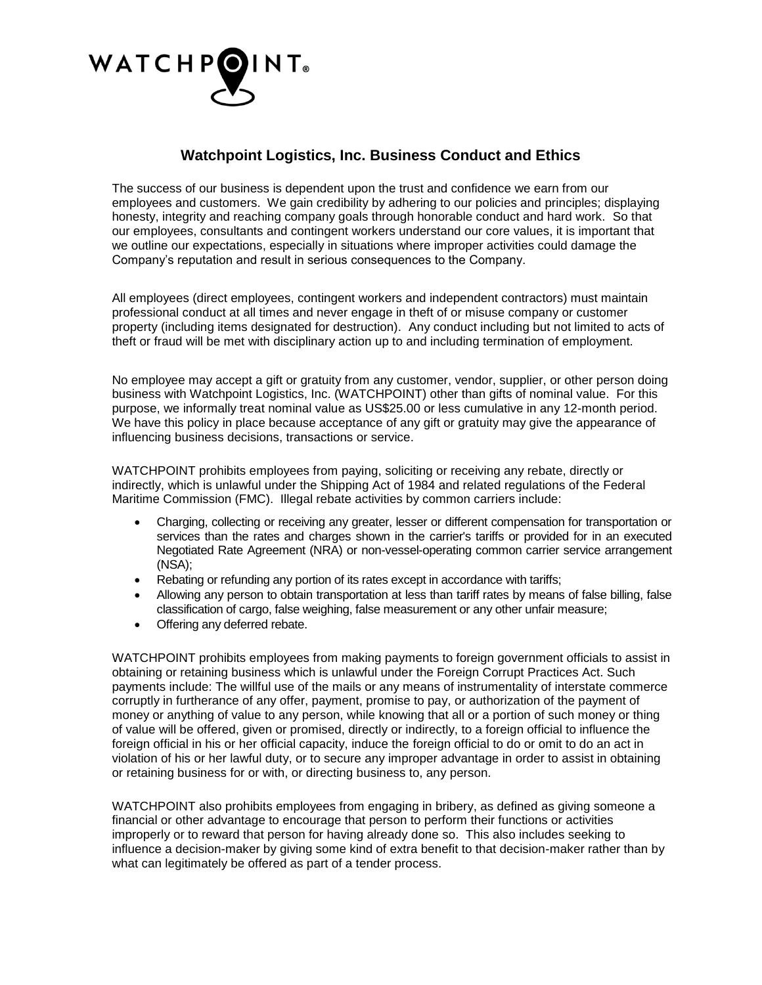

## **Watchpoint Logistics, Inc. Business Conduct and Ethics**

The success of our business is dependent upon the trust and confidence we earn from our employees and customers. We gain credibility by adhering to our policies and principles; displaying honesty, integrity and reaching company goals through honorable conduct and hard work. So that our employees, consultants and contingent workers understand our core values, it is important that we outline our expectations, especially in situations where improper activities could damage the Company's reputation and result in serious consequences to the Company.

All employees (direct employees, contingent workers and independent contractors) must maintain professional conduct at all times and never engage in theft of or misuse company or customer property (including items designated for destruction). Any conduct including but not limited to acts of theft or fraud will be met with disciplinary action up to and including termination of employment.

No employee may accept a gift or gratuity from any customer, vendor, supplier, or other person doing business with Watchpoint Logistics, Inc. (WATCHPOINT) other than gifts of nominal value. For this purpose, we informally treat nominal value as US\$25.00 or less cumulative in any 12-month period. We have this policy in place because acceptance of any gift or gratuity may give the appearance of influencing business decisions, transactions or service.

WATCHPOINT prohibits employees from paying, soliciting or receiving any rebate, directly or indirectly, which is unlawful under the Shipping Act of 1984 and related regulations of the Federal Maritime Commission (FMC). Illegal rebate activities by common carriers include:

- Charging, collecting or receiving any greater, lesser or different compensation for transportation or services than the rates and charges shown in the carrier's tariffs or provided for in an executed Negotiated Rate Agreement (NRA) or non-vessel-operating common carrier service arrangement (NSA);
- Rebating or refunding any portion of its rates except in accordance with tariffs;
- Allowing any person to obtain transportation at less than tariff rates by means of false billing, false classification of cargo, false weighing, false measurement or any other unfair measure;
- Offering any deferred rebate.

WATCHPOINT prohibits employees from making payments to foreign government officials to assist in obtaining or retaining business which is unlawful under the Foreign Corrupt Practices Act. Such payments include: The willful use of the mails or any means of instrumentality of interstate commerce corruptly in furtherance of any offer, payment, promise to pay, or authorization of the payment of money or anything of value to any person, while knowing that all or a portion of such money or thing of value will be offered, given or promised, directly or indirectly, to a foreign official to influence the foreign official in his or her official capacity, induce the foreign official to do or omit to do an act in violation of his or her lawful duty, or to secure any improper advantage in order to assist in obtaining or retaining business for or with, or directing business to, any person.

WATCHPOINT also prohibits employees from engaging in bribery, as defined as giving someone a financial or other advantage to encourage that person to perform their functions or activities improperly or to reward that person for having already done so. This also includes seeking to influence a decision-maker by giving some kind of extra benefit to that decision-maker rather than by what can legitimately be offered as part of a tender process.